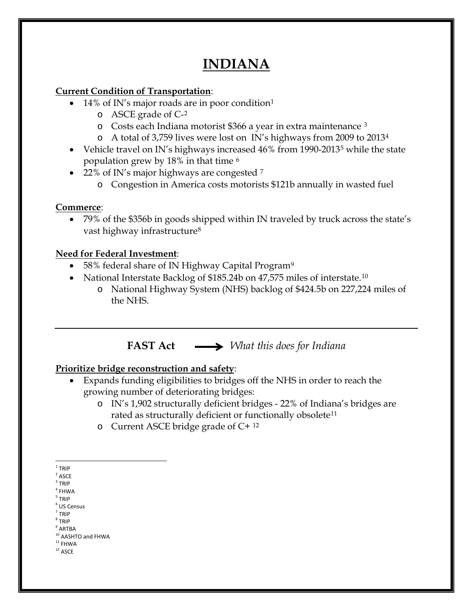# **INDIANA**

### **Current Condition of Transportation**:

- [1](#page-0-0)4% of IN's major roads are in poor condition<sup>1</sup>
	- o ASCE grade of C-[2](#page-0-1)
	- o Costs each Indiana motorist \$366 a year in extra maintenance [3](#page-0-2)
	- o A total of 3,759 lives were lost on IN's highways from 2009 to 2013[4](#page-0-3)
- Vehicle travel on IN's highways increased 46% from 1990-2013<sup>[5](#page-0-4)</sup> while the state population grew by 18% in that time [6](#page-0-5)
- 22% of IN's major highways are congested  $^7$  $^7$ 
	- o Congestion in America costs motorists \$121b annually in wasted fuel

# **Commerce**:

• 79% of the \$356b in goods shipped within IN traveled by truck across the state's vast highway infrastructure<sup>[8](#page-0-7)</sup>

# **Need for Federal Investment**:

- 58% federal share of IN Highway Capital Program<sup>[9](#page-0-8)</sup>
- National Interstate Backlog of \$185.24b on 47,575 miles of interstate.<sup>[10](#page-0-9)</sup>
	- o National Highway System (NHS) backlog of \$424.5b on 227,224 miles of the NHS.

# **FAST Act** *What this does for Indiana*

### **Prioritize bridge reconstruction and safety**:

- Expands funding eligibilities to bridges off the NHS in order to reach the growing number of deteriorating bridges:
	- o IN's 1,902 structurally deficient bridges 22% of Indiana's bridges are rated as structurally deficient or functionally obsolete<sup>[11](#page-0-10)</sup>
	- o Current ASCE bridge grade of C+ [12](#page-0-11)

<span id="page-0-1"></span> $2$  ASCE

- $4$  FHWA
- <span id="page-0-5"></span><span id="page-0-4"></span><span id="page-0-3"></span><sup>5</sup> TRIP  $<sup>6</sup>$  US Census</sup>
- $<sup>7</sup>$  TRIP</sup>
- <span id="page-0-7"></span><span id="page-0-6"></span><sup>8</sup> TRIP
- <span id="page-0-8"></span> $^9$  ARTBA

- <span id="page-0-11"></span><span id="page-0-10"></span> $^{\rm 12}$  ASCE
	-

<span id="page-0-0"></span> $1$  TRIP

<span id="page-0-2"></span> $3$  TRIP

<span id="page-0-9"></span> $10$  AASHTO and FHWA<br> $11$  FHWA